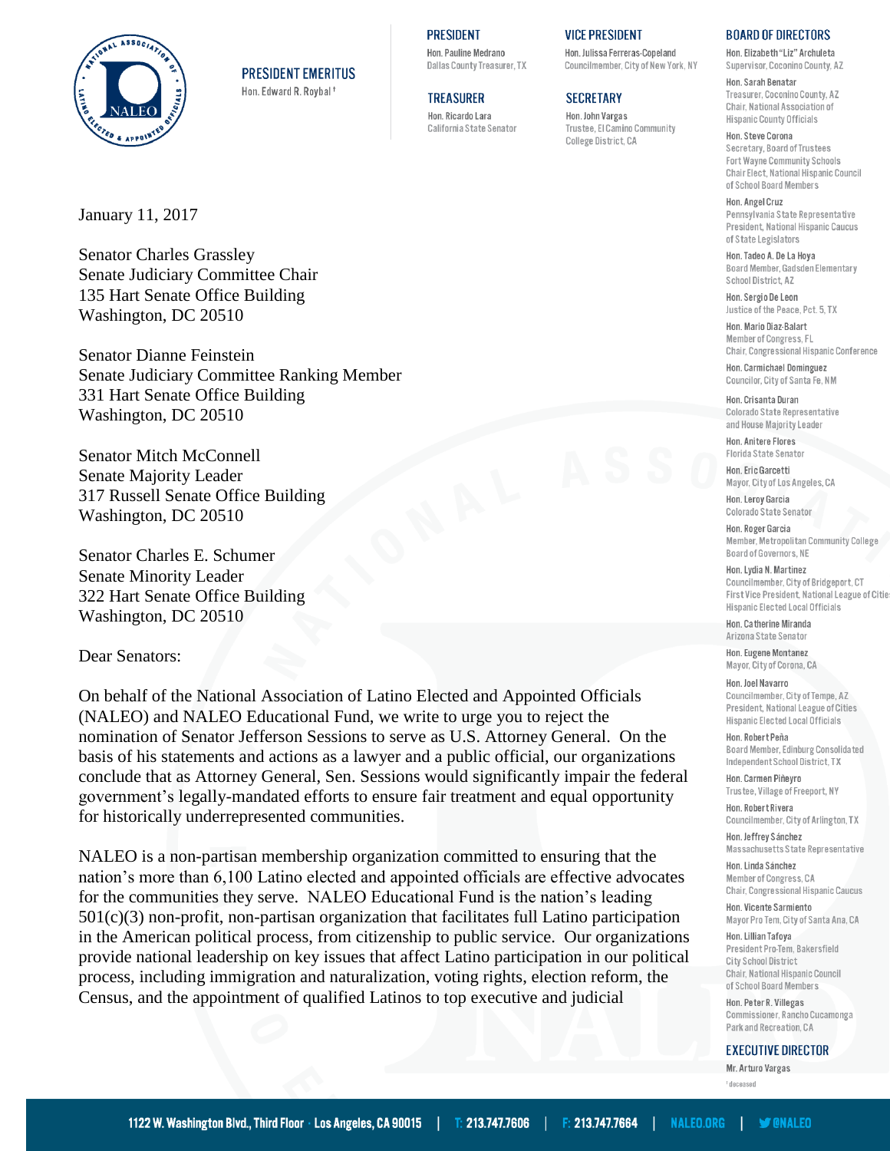

**PRESIDENT EMERITUS** 

Hon. Edward R. Roybal<sup>+</sup>

**TREASURER** Hon, Ricardo Lara California State Senator

**PRESIDENT** 

Hon, Pauline Medrano

Dallas County Treasurer, TX

### **VICE PRESIDENT**

Hon, Julissa Ferreras-Coneland Councilmember, City of New York, NY

## **SECRETARY**

Hon. John Vargas Trustee, El Camino Community College District, CA

### **BOARD OF DIRECTORS**

Hon, Elizabeth "Liz" Archuleta Supervisor, Coconino County, AZ

Hon, Sarah Benatar Treasurer Coconino County &7 Chair, National Association of **Hispanic County Officials** 

Hon, Steve Corona Secretary, Board of Trustees Fort Wayne Community Schools Chair Elect, National Hispanic Council of School Board Members

Hon, Angel Cruz Pennsylvania State Representative President, National Hispanic Caucus of State Legislators

Hon, Tadeo A, De La Hova Board Member, Gadsden Elementary School District, AZ

Hon, Servio De Leon Justice of the Peace, Pct. 5, TX

Hon. Mario Diaz-Balart Member of Congress, FL Chair, Congressional Hispanic Conference

Hon. Carmichael Dominguez Councilor, City of Santa Fe, NM

#### Hon. Crisanta Duran

Colorado State Representative and House Majority Leader

Hon. Anitere Flores Florida State Senator

Hon Frie Garcetti Mayor, City of Los Angeles, CA

Hon. Leroy Garcia Colorado State Senator

Hon. Roger Garcia Member, Metropolitan Community College Board of Governors, NE

Hon. Lydia N. Martinez Councilmember, City of Bridgeport, CT First Vice President, National League of Citie Hispanic Elected Local Officials

Hon Catherine Miranda Arizona State Senator

Hon. Eugene Montanez Mayor, City of Corona, CA

Hon. Joel Navarro

Councilmember, City of Tempe, AZ President, National League of Cities Hispanic Elected Local Officials

## Hon, Robert Peña

Board Member, Edinburg Consolidated Independent School District, TX

Hon. Carmen Piñeyro Trustee, Village of Freeport, NY Hon Robert Rivera

Councilmember, City of Arlington, TX

Hon. Jeffrey Sánchez Massachusetts State Representative

Hon. Linda Sánchez Member of Congress, CA Chair, Congressional Hispanic Caucus

Hon, Vicente Sarmiento Mayor Pro Tem, City of Santa Ana, CA

Hon. Lillian Tafoya President Pro-Tem, Bakersfield City School District Chair, National Hispanic Council of School Board Members

Hon, Peter R. Villegas Commissioner Rancho Cucamonga Park and Recreation, CA

**EXECUTIVE DIRECTOR** 

Mr Arturn Vargas <sup>†</sup> deceased

January 11, 2017

**Senator Charles Grassley** Senate Judiciary Committee Chair 135 Hart Senate Office Building Washington, DC 20510

**Senator Dianne Feinstein** Senate Judiciary Committee Ranking Member 331 Hart Senate Office Building Washington, DC 20510

**Senator Mitch McConnell** Senate Majority Leader 317 Russell Senate Office Building Washington, DC 20510

Senator Charles E. Schumer Senate Minority Leader 322 Hart Senate Office Building Washington, DC 20510

Dear Senators:

On behalf of the National Association of Latino Elected and Appointed Officials (NALEO) and NALEO Educational Fund, we write to urge you to reject the nomination of Senator Jefferson Sessions to serve as U.S. Attorney General. On the basis of his statements and actions as a lawyer and a public official, our organizations conclude that as Attorney General, Sen. Sessions would significantly impair the federal government's legally-mandated efforts to ensure fair treatment and equal opportunity for historically underrepresented communities.

NALEO is a non-partisan membership organization committed to ensuring that the nation's more than 6,100 Latino elected and appointed officials are effective advocates for the communities they serve. NALEO Educational Fund is the nation's leading  $501(c)(3)$  non-profit, non-partisan organization that facilitates full Latino participation in the American political process, from citizenship to public service. Our organizations provide national leadership on key issues that affect Latino participation in our political process, including immigration and naturalization, voting rights, election reform, the Census, and the appointment of qualified Latinos to top executive and judicial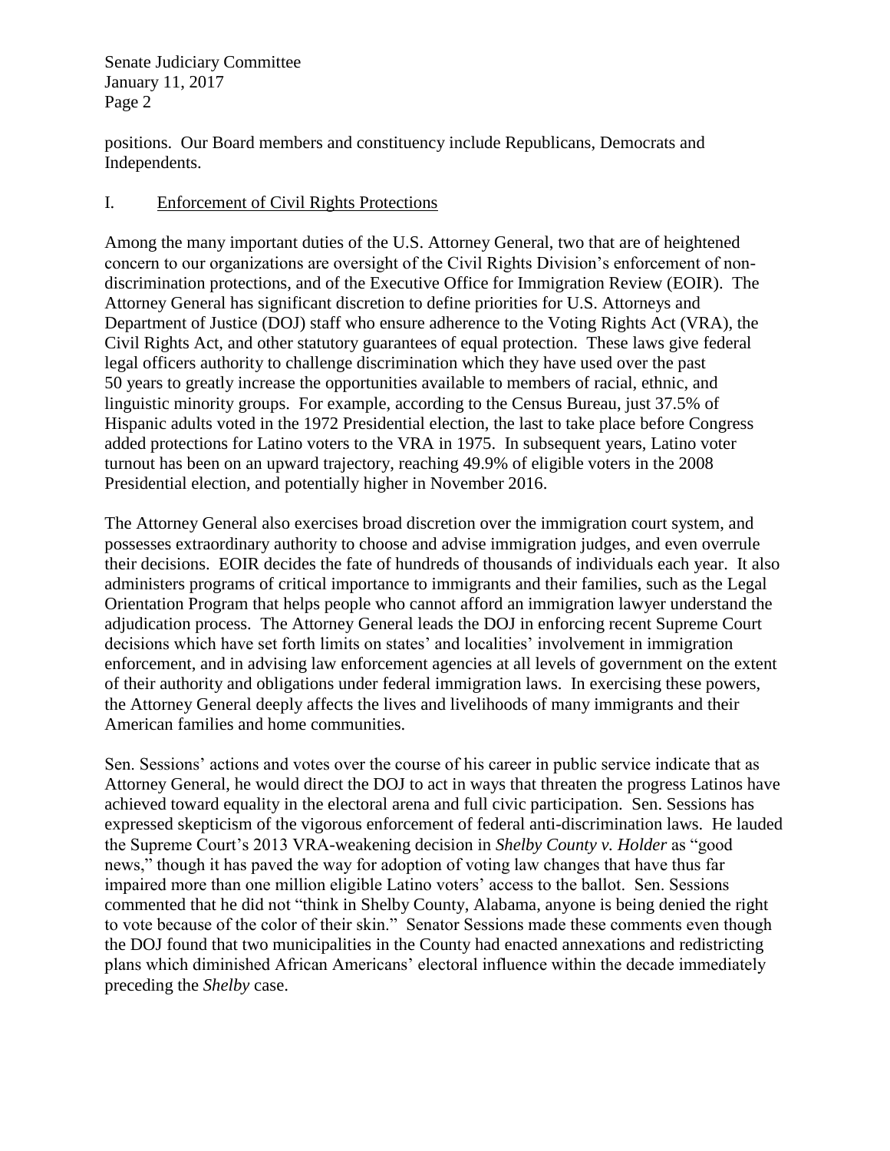Senate Judiciary Committee January 11, 2017 Page 2

positions. Our Board members and constituency include Republicans, Democrats and Independents.

# I. Enforcement of Civil Rights Protections

Among the many important duties of the U.S. Attorney General, two that are of heightened concern to our organizations are oversight of the Civil Rights Division's enforcement of nondiscrimination protections, and of the Executive Office for Immigration Review (EOIR). The Attorney General has significant discretion to define priorities for U.S. Attorneys and Department of Justice (DOJ) staff who ensure adherence to the Voting Rights Act (VRA), the Civil Rights Act, and other statutory guarantees of equal protection. These laws give federal legal officers authority to challenge discrimination which they have used over the past 50 years to greatly increase the opportunities available to members of racial, ethnic, and linguistic minority groups. For example, according to the Census Bureau, just 37.5% of Hispanic adults voted in the 1972 Presidential election, the last to take place before Congress added protections for Latino voters to the VRA in 1975. In subsequent years, Latino voter turnout has been on an upward trajectory, reaching 49.9% of eligible voters in the 2008 Presidential election, and potentially higher in November 2016.

The Attorney General also exercises broad discretion over the immigration court system, and possesses extraordinary authority to choose and advise immigration judges, and even overrule their decisions. EOIR decides the fate of hundreds of thousands of individuals each year. It also administers programs of critical importance to immigrants and their families, such as the Legal Orientation Program that helps people who cannot afford an immigration lawyer understand the adjudication process. The Attorney General leads the DOJ in enforcing recent Supreme Court decisions which have set forth limits on states' and localities' involvement in immigration enforcement, and in advising law enforcement agencies at all levels of government on the extent of their authority and obligations under federal immigration laws. In exercising these powers, the Attorney General deeply affects the lives and livelihoods of many immigrants and their American families and home communities.

Sen. Sessions' actions and votes over the course of his career in public service indicate that as Attorney General, he would direct the DOJ to act in ways that threaten the progress Latinos have achieved toward equality in the electoral arena and full civic participation. Sen. Sessions has expressed skepticism of the vigorous enforcement of federal anti-discrimination laws. He lauded the Supreme Court's 2013 VRA-weakening decision in *Shelby County v. Holder* as "good news," though it has paved the way for adoption of voting law changes that have thus far impaired more than one million eligible Latino voters' access to the ballot. Sen. Sessions commented that he did not "think in Shelby County, Alabama, anyone is being denied the right to vote because of the color of their skin." Senator Sessions made these comments even though the DOJ found that two municipalities in the County had enacted annexations and redistricting plans which diminished African Americans' electoral influence within the decade immediately preceding the *Shelby* case.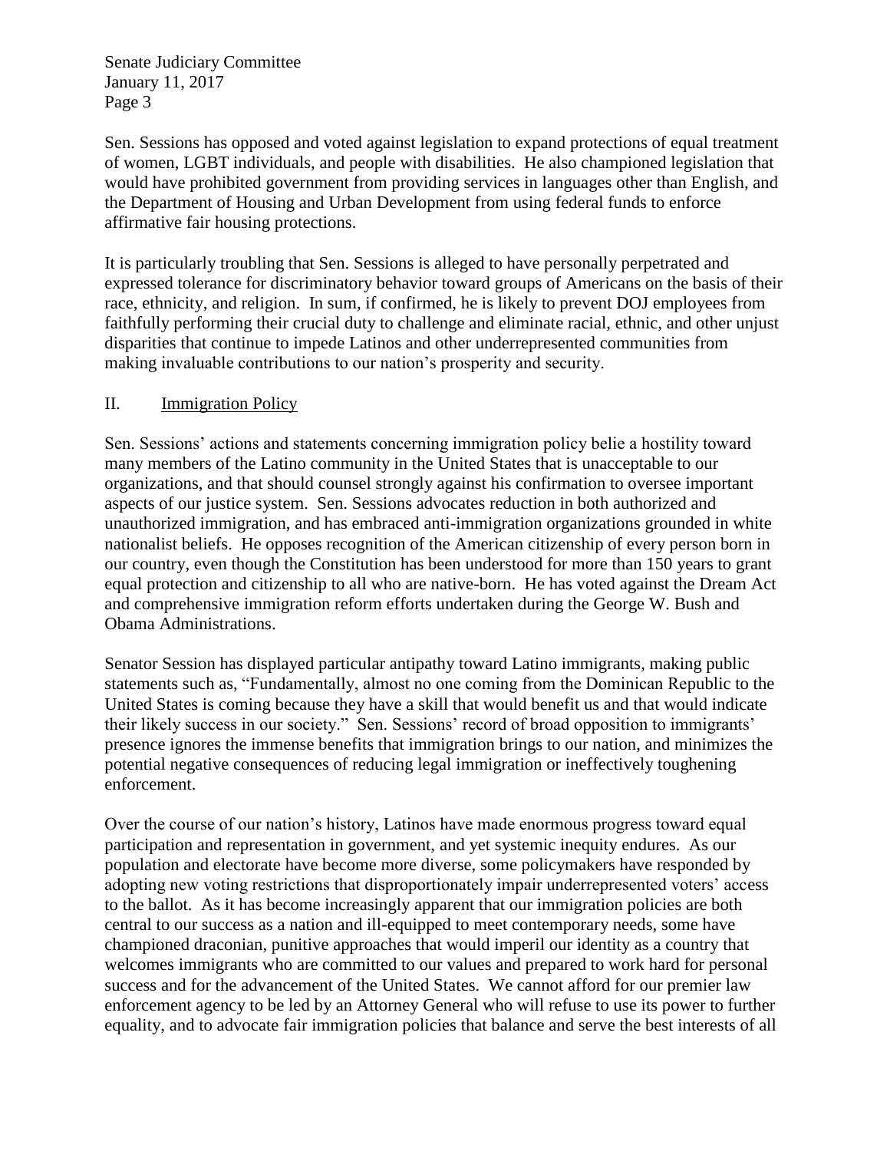Senate Judiciary Committee January 11, 2017 Page 3

Sen. Sessions has opposed and voted against legislation to expand protections of equal treatment of women, LGBT individuals, and people with disabilities. He also championed legislation that would have prohibited government from providing services in languages other than English, and the Department of Housing and Urban Development from using federal funds to enforce affirmative fair housing protections.

It is particularly troubling that Sen. Sessions is alleged to have personally perpetrated and expressed tolerance for discriminatory behavior toward groups of Americans on the basis of their race, ethnicity, and religion. In sum, if confirmed, he is likely to prevent DOJ employees from faithfully performing their crucial duty to challenge and eliminate racial, ethnic, and other unjust disparities that continue to impede Latinos and other underrepresented communities from making invaluable contributions to our nation's prosperity and security.

# II. Immigration Policy

Sen. Sessions' actions and statements concerning immigration policy belie a hostility toward many members of the Latino community in the United States that is unacceptable to our organizations, and that should counsel strongly against his confirmation to oversee important aspects of our justice system. Sen. Sessions advocates reduction in both authorized and unauthorized immigration, and has embraced anti-immigration organizations grounded in white nationalist beliefs. He opposes recognition of the American citizenship of every person born in our country, even though the Constitution has been understood for more than 150 years to grant equal protection and citizenship to all who are native-born. He has voted against the Dream Act and comprehensive immigration reform efforts undertaken during the George W. Bush and Obama Administrations.

Senator Session has displayed particular antipathy toward Latino immigrants, making public statements such as, "Fundamentally, almost no one coming from the Dominican Republic to the United States is coming because they have a skill that would benefit us and that would indicate their likely success in our society." Sen. Sessions' record of broad opposition to immigrants' presence ignores the immense benefits that immigration brings to our nation, and minimizes the potential negative consequences of reducing legal immigration or ineffectively toughening enforcement.

Over the course of our nation's history, Latinos have made enormous progress toward equal participation and representation in government, and yet systemic inequity endures. As our population and electorate have become more diverse, some policymakers have responded by adopting new voting restrictions that disproportionately impair underrepresented voters' access to the ballot. As it has become increasingly apparent that our immigration policies are both central to our success as a nation and ill-equipped to meet contemporary needs, some have championed draconian, punitive approaches that would imperil our identity as a country that welcomes immigrants who are committed to our values and prepared to work hard for personal success and for the advancement of the United States. We cannot afford for our premier law enforcement agency to be led by an Attorney General who will refuse to use its power to further equality, and to advocate fair immigration policies that balance and serve the best interests of all